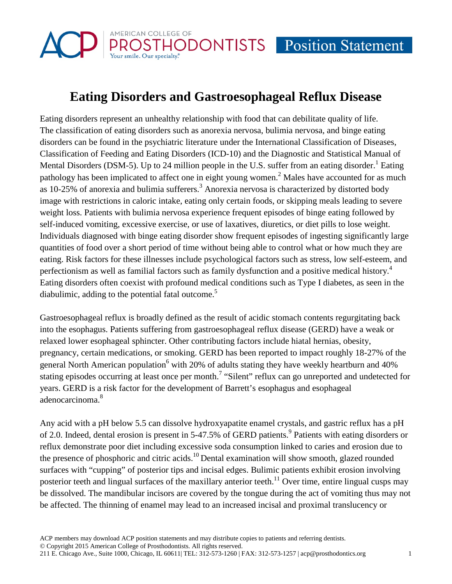

## **Eating Disorders and Gastroesophageal Reflux Disease**

Eating disorders represent an unhealthy relationship with food that can debilitate quality of life. The classification of eating disorders such as anorexia nervosa, bulimia nervosa, and binge eating disorders can be found in the psychiatric literature under the International Classification of Diseases, Classification of Feeding and Eating Disorders (ICD-10) and the Diagnostic and Statistical Manual of Mental Disorders (DSM-5). Up to 24 million people in the U.S. suffer from an eating disorder.<sup>1</sup> Eating pathology has been implicated to affect one in eight young women.<sup>2</sup> Males have accounted for as much as 10-25% of anorexia and bulimia sufferers.<sup>3</sup> Anorexia nervosa is characterized by distorted body image with restrictions in caloric intake, eating only certain foods, or skipping meals leading to severe weight loss. Patients with bulimia nervosa experience frequent episodes of binge eating followed by self-induced vomiting, excessive exercise, or use of laxatives, diuretics, or diet pills to lose weight. Individuals diagnosed with binge eating disorder show frequent episodes of ingesting significantly large quantities of food over a short period of time without being able to control what or how much they are eating. Risk factors for these illnesses include psychological factors such as stress, low self-esteem, and perfectionism as well as familial factors such as family dysfunction and a positive medical history.<sup>4</sup> Eating disorders often coexist with profound medical conditions such as Type I diabetes, as seen in the diabulimic, adding to the potential fatal outcome.<sup>5</sup>

Gastroesophageal reflux is broadly defined as the result of acidic stomach contents regurgitating back into the esophagus. Patients suffering from gastroesophageal reflux disease (GERD) have a weak or relaxed lower esophageal sphincter. Other contributing factors include hiatal hernias, obesity, pregnancy, certain medications, or smoking. GERD has been reported to impact roughly 18-27% of the general North American population<sup>6</sup> with 20% of adults stating they have weekly heartburn and 40% stating episodes occurring at least once per month.<sup>7</sup> "Silent" reflux can go unreported and undetected for years. GERD is a risk factor for the development of Barrett's esophagus and esophageal adenocarcinoma.8

Any acid with a pH below 5.5 can dissolve hydroxyapatite enamel crystals, and gastric reflux has a pH of 2.0. Indeed, dental erosion is present in 5-47.5% of GERD patients.<sup>9</sup> Patients with eating disorders or reflux demonstrate poor diet including excessive soda consumption linked to caries and erosion due to the presence of phosphoric and citric acids.<sup>10</sup> Dental examination will show smooth, glazed rounded surfaces with "cupping" of posterior tips and incisal edges. Bulimic patients exhibit erosion involving posterior teeth and lingual surfaces of the maxillary anterior teeth.<sup>11</sup> Over time, entire lingual cusps may be dissolved. The mandibular incisors are covered by the tongue during the act of vomiting thus may not be affected. The thinning of enamel may lead to an increased incisal and proximal translucency or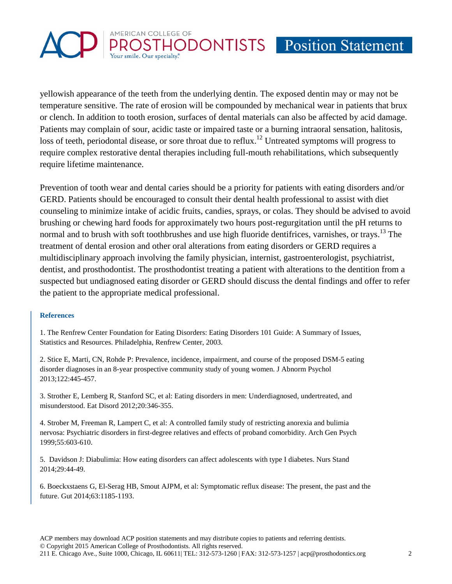# AMERICAN COLLEGE OF HODONTISTS Position Statement

yellowish appearance of the teeth from the underlying dentin. The exposed dentin may or may not be temperature sensitive. The rate of erosion will be compounded by mechanical wear in patients that brux or clench. In addition to tooth erosion, surfaces of dental materials can also be affected by acid damage. Patients may complain of sour, acidic taste or impaired taste or a burning intraoral sensation, halitosis, loss of teeth, periodontal disease, or sore throat due to reflux.<sup>12</sup> Untreated symptoms will progress to require complex restorative dental therapies including full-mouth rehabilitations, which subsequently require lifetime maintenance.

Prevention of tooth wear and dental caries should be a priority for patients with eating disorders and/or GERD. Patients should be encouraged to consult their dental health professional to assist with diet counseling to minimize intake of acidic fruits, candies, sprays, or colas. They should be advised to avoid brushing or chewing hard foods for approximately two hours post-regurgitation until the pH returns to normal and to brush with soft toothbrushes and use high fluoride dentifrices, varnishes, or trays.<sup>13</sup> The treatment of dental erosion and other oral alterations from eating disorders or GERD requires a multidisciplinary approach involving the family physician, internist, gastroenterologist, psychiatrist, dentist, and prosthodontist. The prosthodontist treating a patient with alterations to the dentition from a suspected but undiagnosed eating disorder or GERD should discuss the dental findings and offer to refer the patient to the appropriate medical professional.

### **References**

1. The Renfrew Center Foundation for Eating Disorders: Eating Disorders 101 Guide: A Summary of Issues, Statistics and Resources. Philadelphia, Renfrew Center, 2003.

2. Stice E, Marti, CN, Rohde P: Prevalence, incidence, impairment, and course of the proposed DSM-5 eating disorder diagnoses in an 8-year prospective community study of young women. J Abnorm Psychol 2013;122:445-457.

3. Strother E, Lemberg R, Stanford SC, et al: Eating disorders in men: Underdiagnosed, undertreated, and misunderstood. Eat Disord 2012;20:346-355.

4. Strober M, Freeman R, Lampert C, et al: A controlled family study of restricting anorexia and bulimia nervosa: Psychiatric disorders in first-degree relatives and effects of proband comorbidity. Arch Gen Psych 1999;55:603-610.

5. Davidson J: Diabulimia: How eating disorders can affect adolescents with type I diabetes. Nurs Stand 2014;29:44-49.

6. Boeckxstaens G, El-Serag HB, Smout AJPM, et al: Symptomatic reflux disease: The present, the past and the future. Gut 2014;63:1185-1193.

ACP members may download ACP position statements and may distribute copies to patients and referring dentists. © Copyright 2015 American College of Prosthodontists. All rights reserved. 211 E. Chicago Ave., Suite 1000, Chicago, IL 60611| TEL: 312-573-1260 | FAX: 312-573-1257 | acp@prosthodontics.org 2